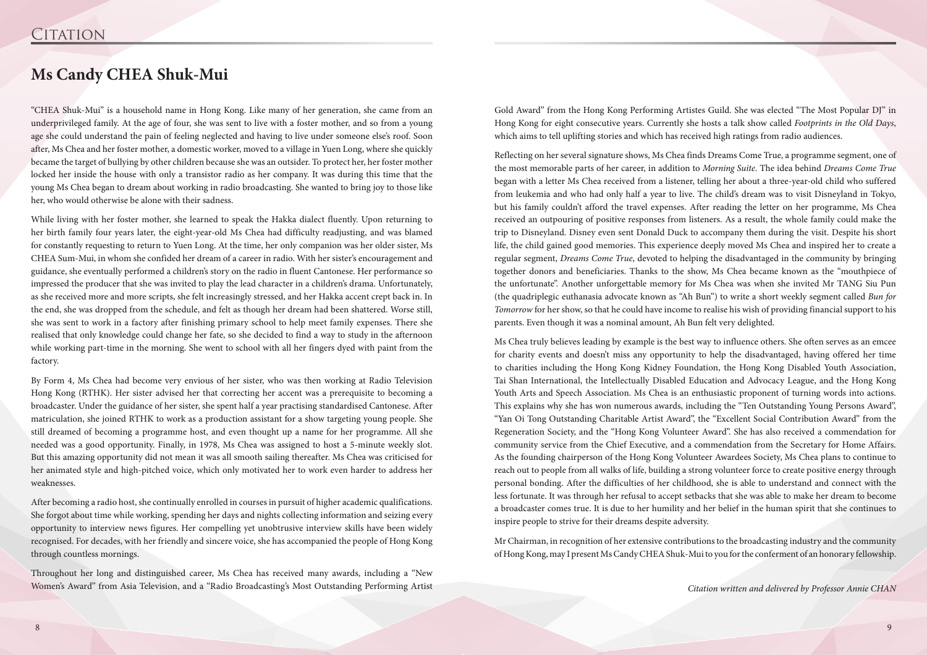"CHEA Shuk-Mui" is a household name in Hong Kong. Like many of her generation, she came from an underprivileged family. At the age of four, she was sent to live with a foster mother, and so from a young age she could understand the pain of feeling neglected and having to live under someone else's roof. Soon after, Ms Chea and her foster mother, a domestic worker, moved to a village in Yuen Long, where she quickly became the target of bullying by other children because she was an outsider. To protect her, her foster mother locked her inside the house with only a transistor radio as her company. It was during this time that the young Ms Chea began to dream about working in radio broadcasting. She wanted to bring joy to those like her, who would otherwise be alone with their sadness.

While living with her foster mother, she learned to speak the Hakka dialect fluently. Upon returning to her birth family four years later, the eight-year-old Ms Chea had difficulty readjusting, and was blamed for constantly requesting to return to Yuen Long. At the time, her only companion was her older sister, Ms CHEA Sum-Mui, in whom she confided her dream of a career in radio. With her sister's encouragement and guidance, she eventually performed a children's story on the radio in fluent Cantonese. Her performance so impressed the producer that she was invited to play the lead character in a children's drama. Unfortunately, as she received more and more scripts, she felt increasingly stressed, and her Hakka accent crept back in. In the end, she was dropped from the schedule, and felt as though her dream had been shattered. Worse still, she was sent to work in a factory after finishing primary school to help meet family expenses. There she realised that only knowledge could change her fate, so she decided to find a way to study in the afternoon while working part-time in the morning. She went to school with all her fingers dyed with paint from the factory.

By Form 4, Ms Chea had become very envious of her sister, who was then working at Radio Television Hong Kong (RTHK). Her sister advised her that correcting her accent was a prerequisite to becoming a broadcaster. Under the guidance of her sister, she spent half a year practising standardised Cantonese. After matriculation, she joined RTHK to work as a production assistant for a show targeting young people. She still dreamed of becoming a programme host, and even thought up a name for her programme. All she needed was a good opportunity. Finally, in 1978, Ms Chea was assigned to host a 5-minute weekly slot. But this amazing opportunity did not mean it was all smooth sailing thereafter. Ms Chea was criticised for her animated style and high-pitched voice, which only motivated her to work even harder to address her weaknesses.

After becoming a radio host, she continually enrolled in courses in pursuit of higher academic qualifications. She forgot about time while working, spending her days and nights collecting information and seizing every opportunity to interview news figures. Her compelling yet unobtrusive interview skills have been widely recognised. For decades, with her friendly and sincere voice, she has accompanied the people of Hong Kong through countless mornings.

Throughout her long and distinguished career, Ms Chea has received many awards, including a "New Women's Award" from Asia Television, and a "Radio Broadcasting's Most Outstanding Performing Artist

## **Ms Candy CHEA Shuk-Mui**

Gold Award" from the Hong Kong Performing Artistes Guild. She was elected "The Most Popular DJ" in Hong Kong for eight consecutive years. Currently she hosts a talk show called *Footprints in the Old Days*, which aims to tell uplifting stories and which has received high ratings from radio audiences.

Reflecting on her several signature shows, Ms Chea finds Dreams Come True, a programme segment, one of the most memorable parts of her career, in addition to *Morning Suite*. The idea behind *Dreams Come True* began with a letter Ms Chea received from a listener, telling her about a three-year-old child who suffered from leukemia and who had only half a year to live. The child's dream was to visit Disneyland in Tokyo, but his family couldn't afford the travel expenses. After reading the letter on her programme, Ms Chea received an outpouring of positive responses from listeners. As a result, the whole family could make the trip to Disneyland. Disney even sent Donald Duck to accompany them during the visit. Despite his short life, the child gained good memories. This experience deeply moved Ms Chea and inspired her to create a regular segment, *Dreams Come True*, devoted to helping the disadvantaged in the community by bringing together donors and beneficiaries. Thanks to the show, Ms Chea became known as the "mouthpiece of the unfortunate". Another unforgettable memory for Ms Chea was when she invited Mr TANG Siu Pun (the quadriplegic euthanasia advocate known as "Ah Bun") to write a short weekly segment called *Bun for Tomorrow* for her show, so that he could have income to realise his wish of providing financial support to his parents. Even though it was a nominal amount, Ah Bun felt very delighted.

Ms Chea truly believes leading by example is the best way to influence others. She often serves as an emcee for charity events and doesn't miss any opportunity to help the disadvantaged, having offered her time to charities including the Hong Kong Kidney Foundation, the Hong Kong Disabled Youth Association, Tai Shan International, the Intellectually Disabled Education and Advocacy League, and the Hong Kong Youth Arts and Speech Association. Ms Chea is an enthusiastic proponent of turning words into actions. This explains why she has won numerous awards, including the "Ten Outstanding Young Persons Award", "Yan Oi Tong Outstanding Charitable Artist Award", the "Excellent Social Contribution Award" from the Regeneration Society, and the "Hong Kong Volunteer Award". She has also received a commendation for community service from the Chief Executive, and a commendation from the Secretary for Home Affairs. As the founding chairperson of the Hong Kong Volunteer Awardees Society, Ms Chea plans to continue to reach out to people from all walks of life, building a strong volunteer force to create positive energy through personal bonding. After the difficulties of her childhood, she is able to understand and connect with the less fortunate. It was through her refusal to accept setbacks that she was able to make her dream to become a broadcaster comes true. It is due to her humility and her belief in the human spirit that she continues to inspire people to strive for their dreams despite adversity.

Mr Chairman, in recognition of her extensive contributions to the broadcasting industry and the community of Hong Kong, may I present Ms Candy CHEA Shuk-Mui to you for the conferment of an honorary fellowship.

*Citation written and delivered by Professor Annie CHAN*